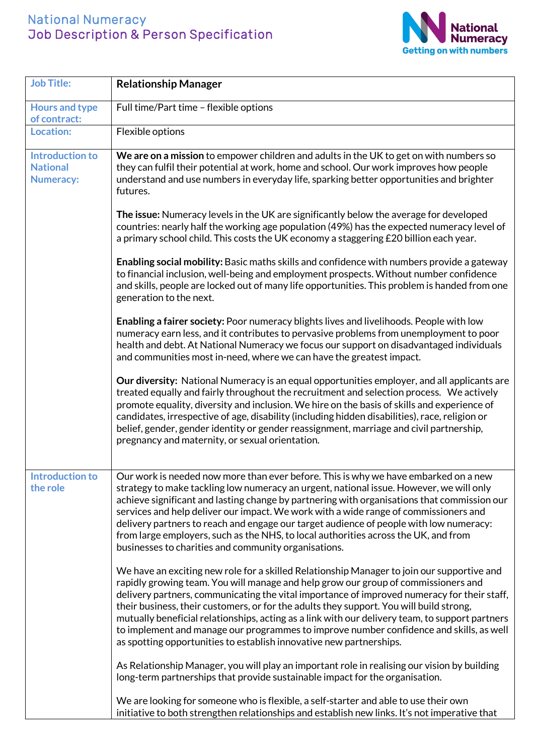## National Numeracy Job Description & Person Specification



| <b>Job Title:</b>                                             | <b>Relationship Manager</b>                                                                                                                                                                                                                                                                                                                                                                                                                                                                                                                                                                                                                     |
|---------------------------------------------------------------|-------------------------------------------------------------------------------------------------------------------------------------------------------------------------------------------------------------------------------------------------------------------------------------------------------------------------------------------------------------------------------------------------------------------------------------------------------------------------------------------------------------------------------------------------------------------------------------------------------------------------------------------------|
| <b>Hours and type</b><br>of contract:                         | Full time/Part time - flexible options                                                                                                                                                                                                                                                                                                                                                                                                                                                                                                                                                                                                          |
| <b>Location:</b>                                              | Flexible options                                                                                                                                                                                                                                                                                                                                                                                                                                                                                                                                                                                                                                |
| <b>Introduction to</b><br><b>National</b><br><b>Numeracy:</b> | We are on a mission to empower children and adults in the UK to get on with numbers so<br>they can fulfil their potential at work, home and school. Our work improves how people<br>understand and use numbers in everyday life, sparking better opportunities and brighter<br>futures.                                                                                                                                                                                                                                                                                                                                                         |
|                                                               | The issue: Numeracy levels in the UK are significantly below the average for developed<br>countries: nearly half the working age population (49%) has the expected numeracy level of<br>a primary school child. This costs the UK economy a staggering £20 billion each year.                                                                                                                                                                                                                                                                                                                                                                   |
|                                                               | Enabling social mobility: Basic maths skills and confidence with numbers provide a gateway<br>to financial inclusion, well-being and employment prospects. Without number confidence<br>and skills, people are locked out of many life opportunities. This problem is handed from one<br>generation to the next.                                                                                                                                                                                                                                                                                                                                |
|                                                               | Enabling a fairer society: Poor numeracy blights lives and livelihoods. People with low<br>numeracy earn less, and it contributes to pervasive problems from unemployment to poor<br>health and debt. At National Numeracy we focus our support on disadvantaged individuals<br>and communities most in-need, where we can have the greatest impact.                                                                                                                                                                                                                                                                                            |
|                                                               | <b>Our diversity:</b> National Numeracy is an equal opportunities employer, and all applicants are<br>treated equally and fairly throughout the recruitment and selection process. We actively<br>promote equality, diversity and inclusion. We hire on the basis of skills and experience of<br>candidates, irrespective of age, disability (including hidden disabilities), race, religion or<br>belief, gender, gender identity or gender reassignment, marriage and civil partnership,<br>pregnancy and maternity, or sexual orientation.                                                                                                   |
| <b>Introduction to</b><br>the role                            | Our work is needed now more than ever before. This is why we have embarked on a new<br>strategy to make tackling low numeracy an urgent, national issue. However, we will only<br>achieve significant and lasting change by partnering with organisations that commission our<br>services and help deliver our impact. We work with a wide range of commissioners and<br>delivery partners to reach and engage our target audience of people with low numeracy:<br>from large employers, such as the NHS, to local authorities across the UK, and from<br>businesses to charities and community organisations.                                  |
|                                                               | We have an exciting new role for a skilled Relationship Manager to join our supportive and<br>rapidly growing team. You will manage and help grow our group of commissioners and<br>delivery partners, communicating the vital importance of improved numeracy for their staff,<br>their business, their customers, or for the adults they support. You will build strong,<br>mutually beneficial relationships, acting as a link with our delivery team, to support partners<br>to implement and manage our programmes to improve number confidence and skills, as well<br>as spotting opportunities to establish innovative new partnerships. |
|                                                               | As Relationship Manager, you will play an important role in realising our vision by building<br>long-term partnerships that provide sustainable impact for the organisation.                                                                                                                                                                                                                                                                                                                                                                                                                                                                    |
|                                                               | We are looking for someone who is flexible, a self-starter and able to use their own<br>initiative to both strengthen relationships and establish new links. It's not imperative that                                                                                                                                                                                                                                                                                                                                                                                                                                                           |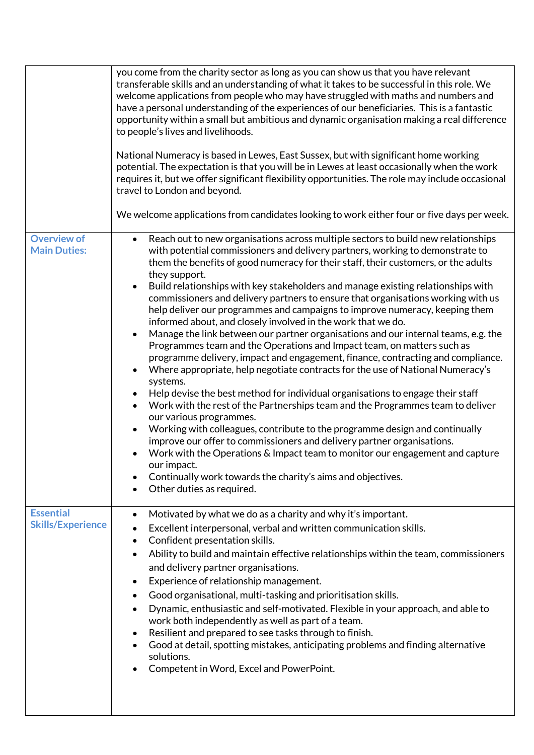|                                           | you come from the charity sector as long as you can show us that you have relevant<br>transferable skills and an understanding of what it takes to be successful in this role. We<br>welcome applications from people who may have struggled with maths and numbers and<br>have a personal understanding of the experiences of our beneficiaries. This is a fantastic<br>opportunity within a small but ambitious and dynamic organisation making a real difference<br>to people's lives and livelihoods.<br>National Numeracy is based in Lewes, East Sussex, but with significant home working<br>potential. The expectation is that you will be in Lewes at least occasionally when the work<br>requires it, but we offer significant flexibility opportunities. The role may include occasional<br>travel to London and beyond.                                                                                                                                                                                                                                                                                                                                                                                                                                                                                                                                                                                                                                                                                                         |
|-------------------------------------------|---------------------------------------------------------------------------------------------------------------------------------------------------------------------------------------------------------------------------------------------------------------------------------------------------------------------------------------------------------------------------------------------------------------------------------------------------------------------------------------------------------------------------------------------------------------------------------------------------------------------------------------------------------------------------------------------------------------------------------------------------------------------------------------------------------------------------------------------------------------------------------------------------------------------------------------------------------------------------------------------------------------------------------------------------------------------------------------------------------------------------------------------------------------------------------------------------------------------------------------------------------------------------------------------------------------------------------------------------------------------------------------------------------------------------------------------------------------------------------------------------------------------------------------------|
|                                           | We welcome applications from candidates looking to work either four or five days per week.                                                                                                                                                                                                                                                                                                                                                                                                                                                                                                                                                                                                                                                                                                                                                                                                                                                                                                                                                                                                                                                                                                                                                                                                                                                                                                                                                                                                                                                  |
| <b>Overview of</b><br><b>Main Duties:</b> | Reach out to new organisations across multiple sectors to build new relationships<br>$\bullet$<br>with potential commissioners and delivery partners, working to demonstrate to<br>them the benefits of good numeracy for their staff, their customers, or the adults<br>they support.<br>Build relationships with key stakeholders and manage existing relationships with<br>commissioners and delivery partners to ensure that organisations working with us<br>help deliver our programmes and campaigns to improve numeracy, keeping them<br>informed about, and closely involved in the work that we do.<br>Manage the link between our partner organisations and our internal teams, e.g. the<br>$\bullet$<br>Programmes team and the Operations and Impact team, on matters such as<br>programme delivery, impact and engagement, finance, contracting and compliance.<br>Where appropriate, help negotiate contracts for the use of National Numeracy's<br>systems.<br>Help devise the best method for individual organisations to engage their staff<br>Work with the rest of the Partnerships team and the Programmes team to deliver<br>$\bullet$<br>our various programmes.<br>Working with colleagues, contribute to the programme design and continually<br>improve our offer to commissioners and delivery partner organisations.<br>Work with the Operations & Impact team to monitor our engagement and capture<br>our impact.<br>Continually work towards the charity's aims and objectives.<br>Other duties as required. |
| <b>Essential</b>                          | Motivated by what we do as a charity and why it's important.<br>$\bullet$                                                                                                                                                                                                                                                                                                                                                                                                                                                                                                                                                                                                                                                                                                                                                                                                                                                                                                                                                                                                                                                                                                                                                                                                                                                                                                                                                                                                                                                                   |
| <b>Skills/Experience</b>                  | Excellent interpersonal, verbal and written communication skills.                                                                                                                                                                                                                                                                                                                                                                                                                                                                                                                                                                                                                                                                                                                                                                                                                                                                                                                                                                                                                                                                                                                                                                                                                                                                                                                                                                                                                                                                           |
|                                           | Confident presentation skills.<br>Ability to build and maintain effective relationships within the team, commissioners<br>$\bullet$<br>and delivery partner organisations.<br>Experience of relationship management.<br>$\bullet$<br>Good organisational, multi-tasking and prioritisation skills.<br>Dynamic, enthusiastic and self-motivated. Flexible in your approach, and able to<br>work both independently as well as part of a team.<br>Resilient and prepared to see tasks through to finish.<br>$\bullet$<br>Good at detail, spotting mistakes, anticipating problems and finding alternative<br>solutions.<br>Competent in Word, Excel and PowerPoint.                                                                                                                                                                                                                                                                                                                                                                                                                                                                                                                                                                                                                                                                                                                                                                                                                                                                           |